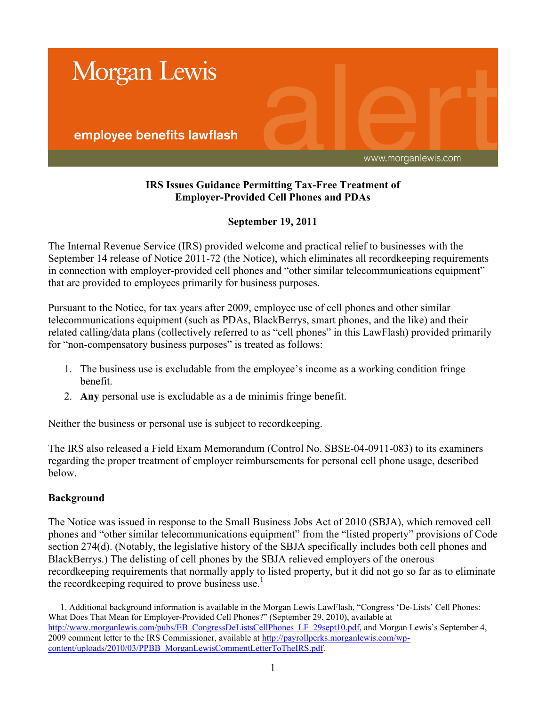

### **IRS Issues Guidance Permitting Tax-Free Treatment of Employer-Provided Cell Phones and PDAs**

# **September 19, 2011**

The Internal Revenue Service (IRS) provided welcome and practical relief to businesses with the September 14 release of Notice 2011-72 (the Notice), which eliminates all recordkeeping requirements in connection with employer-provided cell phones and "other similar telecommunications equipment" that are provided to employees primarily for business purposes.

Pursuant to the Notice, for tax years after 2009, employee use of cell phones and other similar telecommunications equipment (such as PDAs, BlackBerrys, smart phones, and the like) and their related calling/data plans (collectively referred to as "cell phones" in this LawFlash) provided primarily for "non-compensatory business purposes" is treated as follows:

- 1. The business use is excludable from the employee's income as a working condition fringe benefit.
- 2. **Any** personal use is excludable as a de minimis fringe benefit.

Neither the business or personal use is subject to recordkeeping.

The IRS also released a Field Exam Memorandum (Control No. SBSE-04-0911-083) to its examiners regarding the proper treatment of employer reimbursements for personal cell phone usage, described below.

# **Background**

The Notice was issued in response to the Small Business Jobs Act of 2010 (SBJA), which removed cell phones and "other similar telecommunications equipment" from the "listed property" provisions of Code section 274(d). (Notably, the legislative history of the SBJA specifically includes both cell phones and BlackBerrys.) The delisting of cell phones by the SBJA relieved employers of the onerous recordkeeping requirements that normally apply to listed property, but it did not go so far as to eliminate the recordkeeping required to prove business use.<sup>1</sup>

 $\overline{a}$ 1. Additional background information is available in the Morgan Lewis LawFlash, "Congress 'De-Lists' Cell Phones: What Does That Mean for Employer-Provided Cell Phones?" (September 29, 2010), available at [http://www.morganlewis.com/pubs/EB\\_CongressDeListsCellPhones\\_LF\\_29sept10.pdf,](http://www.morganlewis.com/pubs/EB_CongressDeListsCellPhones_LF_29sept10.pdf) and Morgan Lewis's September 4, 2009 comment letter to the IRS Commissioner, available at [http://payrollperks.morganlewis.com/wp](http://payrollperks.morganlewis.com/wp-content/uploads/2010/03/PPBB_MorganLewisCommentLetterToTheIRS.pdf)[content/uploads/2010/03/PPBB\\_MorganLewisCommentLetterToTheIRS.pdf.](http://payrollperks.morganlewis.com/wp-content/uploads/2010/03/PPBB_MorganLewisCommentLetterToTheIRS.pdf)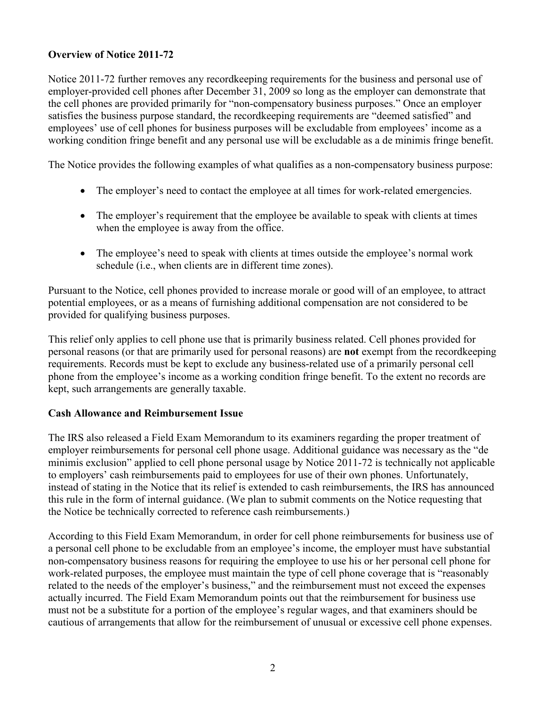# **Overview of Notice 2011-72**

Notice 2011-72 further removes any recordkeeping requirements for the business and personal use of employer-provided cell phones after December 31, 2009 so long as the employer can demonstrate that the cell phones are provided primarily for "non-compensatory business purposes." Once an employer satisfies the business purpose standard, the recordkeeping requirements are "deemed satisfied" and employees' use of cell phones for business purposes will be excludable from employees' income as a working condition fringe benefit and any personal use will be excludable as a de minimis fringe benefit.

The Notice provides the following examples of what qualifies as a non-compensatory business purpose:

- The employer's need to contact the employee at all times for work-related emergencies.
- The employer's requirement that the employee be available to speak with clients at times when the employee is away from the office.
- The employee's need to speak with clients at times outside the employee's normal work schedule (i.e., when clients are in different time zones).

Pursuant to the Notice, cell phones provided to increase morale or good will of an employee, to attract potential employees, or as a means of furnishing additional compensation are not considered to be provided for qualifying business purposes.

This relief only applies to cell phone use that is primarily business related. Cell phones provided for personal reasons (or that are primarily used for personal reasons) are **not** exempt from the recordkeeping requirements. Records must be kept to exclude any business-related use of a primarily personal cell phone from the employee's income as a working condition fringe benefit. To the extent no records are kept, such arrangements are generally taxable.

### **Cash Allowance and Reimbursement Issue**

The IRS also released a Field Exam Memorandum to its examiners regarding the proper treatment of employer reimbursements for personal cell phone usage. Additional guidance was necessary as the "de minimis exclusion" applied to cell phone personal usage by Notice 2011-72 is technically not applicable to employers' cash reimbursements paid to employees for use of their own phones. Unfortunately, instead of stating in the Notice that its relief is extended to cash reimbursements, the IRS has announced this rule in the form of internal guidance. (We plan to submit comments on the Notice requesting that the Notice be technically corrected to reference cash reimbursements.)

According to this Field Exam Memorandum, in order for cell phone reimbursements for business use of a personal cell phone to be excludable from an employee's income, the employer must have substantial non-compensatory business reasons for requiring the employee to use his or her personal cell phone for work-related purposes, the employee must maintain the type of cell phone coverage that is "reasonably related to the needs of the employer's business," and the reimbursement must not exceed the expenses actually incurred. The Field Exam Memorandum points out that the reimbursement for business use must not be a substitute for a portion of the employee's regular wages, and that examiners should be cautious of arrangements that allow for the reimbursement of unusual or excessive cell phone expenses.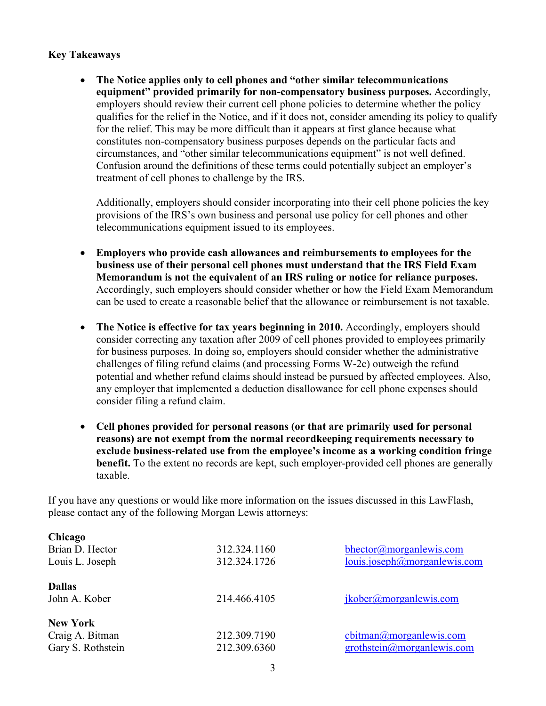### **Key Takeaways**

 **The Notice applies only to cell phones and "other similar telecommunications equipment" provided primarily for non-compensatory business purposes.** Accordingly, employers should review their current cell phone policies to determine whether the policy qualifies for the relief in the Notice, and if it does not, consider amending its policy to qualify for the relief. This may be more difficult than it appears at first glance because what constitutes non-compensatory business purposes depends on the particular facts and circumstances, and "other similar telecommunications equipment" is not well defined. Confusion around the definitions of these terms could potentially subject an employer's treatment of cell phones to challenge by the IRS.

Additionally, employers should consider incorporating into their cell phone policies the key provisions of the IRS's own business and personal use policy for cell phones and other telecommunications equipment issued to its employees.

- **Employers who provide cash allowances and reimbursements to employees for the business use of their personal cell phones must understand that the IRS Field Exam Memorandum is not the equivalent of an IRS ruling or notice for reliance purposes.** Accordingly, such employers should consider whether or how the Field Exam Memorandum can be used to create a reasonable belief that the allowance or reimbursement is not taxable.
- **The Notice is effective for tax years beginning in 2010.** Accordingly, employers should consider correcting any taxation after 2009 of cell phones provided to employees primarily for business purposes. In doing so, employers should consider whether the administrative challenges of filing refund claims (and processing Forms W-2c) outweigh the refund potential and whether refund claims should instead be pursued by affected employees. Also, any employer that implemented a deduction disallowance for cell phone expenses should consider filing a refund claim.
- **Cell phones provided for personal reasons (or that are primarily used for personal reasons) are not exempt from the normal recordkeeping requirements necessary to exclude business-related use from the employee's income as a working condition fringe benefit.** To the extent no records are kept, such employer-provided cell phones are generally taxable.

If you have any questions or would like more information on the issues discussed in this LawFlash, please contact any of the following Morgan Lewis attorneys:

| Chicago           |              |                                         |
|-------------------|--------------|-----------------------------------------|
| Brian D. Hector   | 312.324.1160 | bhector@morganlewis.com                 |
| Louis L. Joseph   | 312.324.1726 | louis.joseph@morganlewis.com            |
| <b>Dallas</b>     |              |                                         |
| John A. Kober     | 214.466.4105 | jkober@morganlewis.com                  |
| <b>New York</b>   |              |                                         |
| Craig A. Bitman   | 212.309.7190 | cbitman@morganlewis.com                 |
| Gary S. Rothstein | 212.309.6360 | $grothstein(\partial)$ morgan lewis.com |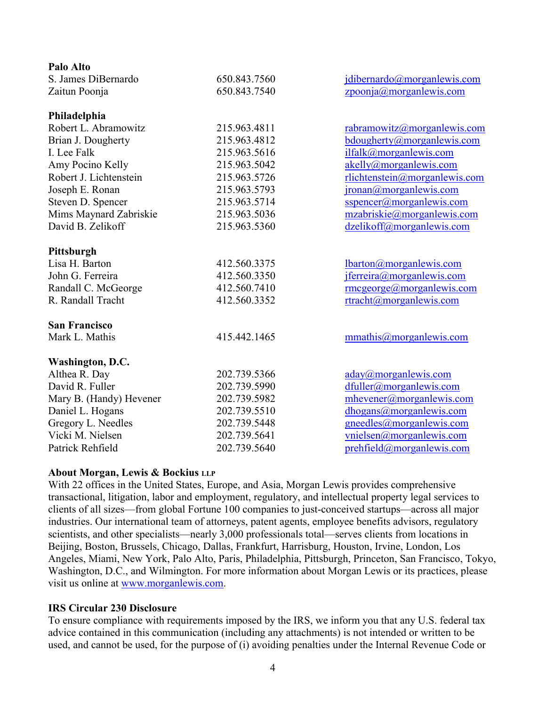| 650.843.7560 | idibernardo@morganlewis.com                     |
|--------------|-------------------------------------------------|
| 650.843.7540 | zpoonja@moreanlewis.com                         |
|              |                                                 |
| 215.963.4811 | rabramowitz@morganlewis.com                     |
| 215.963.4812 | bdougherty@morganlewis.com                      |
| 215.963.5616 | ilfalk@morganlewis.com                          |
| 215.963.5042 | akelly@morganlewis.com                          |
| 215.963.5726 | rlichtenstein@morganlewis.com                   |
| 215.963.5793 | jronan@morganlewis.com                          |
| 215.963.5714 | sspencer@morganlewis.com                        |
| 215.963.5036 | mzabriskie@morganlewis.com                      |
| 215.963.5360 | dzelikoff@morganlewis.com                       |
|              |                                                 |
| 412.560.3375 | lbaron@morganlewis.com                          |
| 412.560.3350 | jferreira@morganlewis.com                       |
| 412.560.7410 | $rmege$ orge $@$ morganlewis.com                |
| 412.560.3352 | rtracht@morganlewis.com                         |
|              |                                                 |
| 415.442.1465 | mmathis@morganlewis.com                         |
|              |                                                 |
| 202.739.5366 | $\frac{aday(\omega) \text{morganlewis.com}}{d}$ |
| 202.739.5990 | dfuller@morganlewis.com                         |
| 202.739.5982 | mhevener@morganlewis.com                        |
| 202.739.5510 | dhogans@morganlewis.com                         |
| 202.739.5448 | gneedles@morganlewis.com                        |
| 202.739.5641 | vnielsen@morganlewis.com                        |
| 202.739.5640 | prehfield@morganlewis.com                       |
|              |                                                 |

#### **About Morgan, Lewis & Bockius LLP**

With 22 offices in the United States, Europe, and Asia, Morgan Lewis provides comprehensive transactional, litigation, labor and employment, regulatory, and intellectual property legal services to clients of all sizes—from global Fortune 100 companies to just-conceived startups—across all major industries. Our international team of attorneys, patent agents, employee benefits advisors, regulatory scientists, and other specialists—nearly 3,000 professionals total—serves clients from locations in Beijing, Boston, Brussels, Chicago, Dallas, Frankfurt, Harrisburg, Houston, Irvine, London, Los Angeles, Miami, New York, Palo Alto, Paris, Philadelphia, Pittsburgh, Princeton, San Francisco, Tokyo, Washington, D.C., and Wilmington. For more information about Morgan Lewis or its practices, please visit us online at [www.morganlewis.com](http://www.morganlewis.com/).

#### **IRS Circular 230 Disclosure**

To ensure compliance with requirements imposed by the IRS, we inform you that any U.S. federal tax advice contained in this communication (including any attachments) is not intended or written to be used, and cannot be used, for the purpose of (i) avoiding penalties under the Internal Revenue Code or